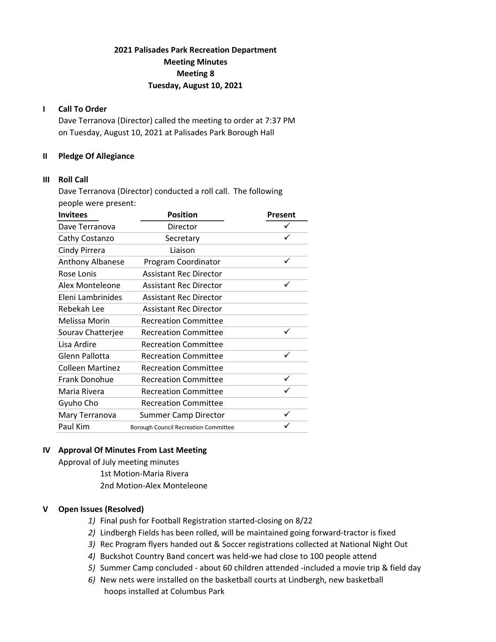# 2021 Palisades Park Recreation Department Meeting Minutes Meeting 8 Tuesday, August 10, 2021

### I Call To Order

Dave Terranova (Director) called the meeting to order at 7:37 PM on Tuesday, August 10, 2021 at Palisades Park Borough Hall

### II Pledge Of Allegiance

### III Roll Call

Dave Terranova (Director) conducted a roll call. The following people were present:

| <b>Invitees</b>         | <b>Position</b>                             | Present      |  |
|-------------------------|---------------------------------------------|--------------|--|
| Dave Terranova          | Director                                    |              |  |
| Cathy Costanzo          | Secretary                                   | ✓            |  |
| Cindy Pirrera           | Liaison                                     |              |  |
| <b>Anthony Albanese</b> | Program Coordinator                         | ✓            |  |
| Rose Lonis              | <b>Assistant Rec Director</b>               |              |  |
| Alex Monteleone         | <b>Assistant Rec Director</b>               |              |  |
| Eleni Lambrinides       | <b>Assistant Rec Director</b>               |              |  |
| Rebekah Lee             | <b>Assistant Rec Director</b>               |              |  |
| Melissa Morin           | <b>Recreation Committee</b>                 |              |  |
| Sourav Chatterjee       | <b>Recreation Committee</b>                 | $\checkmark$ |  |
| Lisa Ardire             | <b>Recreation Committee</b>                 |              |  |
| Glenn Pallotta          | <b>Recreation Committee</b>                 | ✓            |  |
| <b>Colleen Martinez</b> | <b>Recreation Committee</b>                 |              |  |
| <b>Frank Donohue</b>    | <b>Recreation Committee</b>                 | ✓            |  |
| Maria Rivera            | <b>Recreation Committee</b>                 |              |  |
| Gyuho Cho               | <b>Recreation Committee</b>                 |              |  |
| Mary Terranova          | <b>Summer Camp Director</b>                 | $\checkmark$ |  |
| Paul Kim                | <b>Borough Council Recreation Committee</b> |              |  |

## IV Approval Of Minutes From Last Meeting

Approval of July meeting minutes 1st Motion-Maria Rivera 2nd Motion-Alex Monteleone

### V Open Issues (Resolved)

- 1) Final push for Football Registration started-closing on 8/22
- 2) Lindbergh Fields has been rolled, will be maintained going forward-tractor is fixed
- 3) Rec Program flyers handed out & Soccer registrations collected at National Night Out
- 4) Buckshot Country Band concert was held-we had close to 100 people attend
- 5) Summer Camp concluded about 60 children attended -included a movie trip & field day
- 6) New nets were installed on the basketball courts at Lindbergh, new basketball hoops installed at Columbus Park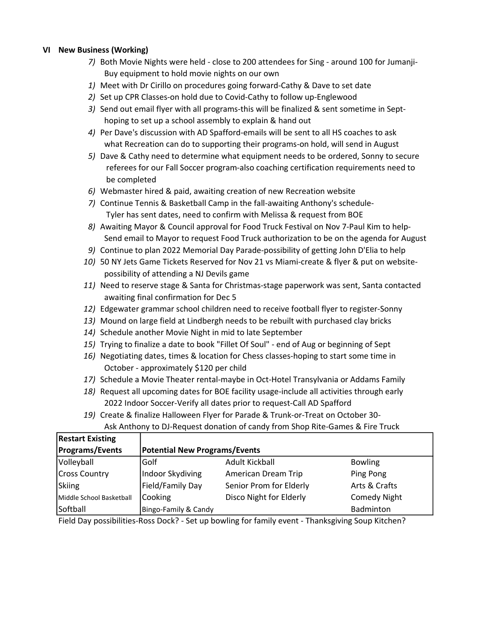### VI New Business (Working)

- 7) Both Movie Nights were held close to 200 attendees for Sing around 100 for Jumanji- Buy equipment to hold movie nights on our own
- 1) Meet with Dr Cirillo on procedures going forward-Cathy & Dave to set date
- 2) Set up CPR Classes-on hold due to Covid-Cathy to follow up-Englewood
- 3) Send out email flyer with all programs-this will be finalized & sent sometime in Sept hoping to set up a school assembly to explain & hand out
- 4) Per Dave's discussion with AD Spafford-emails will be sent to all HS coaches to ask what Recreation can do to supporting their programs-on hold, will send in August
- 5) Dave & Cathy need to determine what equipment needs to be ordered, Sonny to secure referees for our Fall Soccer program-also coaching certification requirements need to be completed
- 6) Webmaster hired & paid, awaiting creation of new Recreation website
- 7) Continue Tennis & Basketball Camp in the fall-awaiting Anthony's schedule- Tyler has sent dates, need to confirm with Melissa & request from BOE
- 8) Awaiting Mayor & Council approval for Food Truck Festival on Nov 7-Paul Kim to help- Send email to Mayor to request Food Truck authorization to be on the agenda for August
- 9) Continue to plan 2022 Memorial Day Parade-possibility of getting John D'Elia to help
- 10) 50 NY Jets Game Tickets Reserved for Nov 21 vs Miami-create & flyer & put on website possibility of attending a NJ Devils game
- 11) Need to reserve stage & Santa for Christmas-stage paperwork was sent, Santa contacted awaiting final confirmation for Dec 5
- 12) Edgewater grammar school children need to receive football flyer to register-Sonny
- 13) Mound on large field at Lindbergh needs to be rebuilt with purchased clay bricks
- 14) Schedule another Movie Night in mid to late September
- 15) Trying to finalize a date to book "Fillet Of Soul" end of Aug or beginning of Sept
- 16) Negotiating dates, times & location for Chess classes-hoping to start some time in October - approximately \$120 per child
- 17) Schedule a Movie Theater rental-maybe in Oct-Hotel Transylvania or Addams Family
- 18) Request all upcoming dates for BOE facility usage-include all activities through early 2022 Indoor Soccer-Verify all dates prior to request-Call AD Spafford
- 19) Create & finalize Halloween Flyer for Parade & Trunk-or-Treat on October 30-
	- Ask Anthony to DJ-Request donation of candy from Shop Rite-Games & Fire Truck

| <b>Restart Existing</b>  |                                      |                         |                     |  |
|--------------------------|--------------------------------------|-------------------------|---------------------|--|
| <b>Programs/Events</b>   | <b>Potential New Programs/Events</b> |                         |                     |  |
| Volleyball               | Golf                                 | Adult Kickball          | <b>Bowling</b>      |  |
| <b>Cross Country</b>     | Indoor Skydiving                     | American Dream Trip     | Ping Pong           |  |
| Skiing                   | Field/Family Day                     | Senior Prom for Elderly | Arts & Crafts       |  |
| Middle School Basketball | Cooking                              | Disco Night for Elderly | <b>Comedy Night</b> |  |
| Softball                 | Bingo-Family & Candy                 |                         | Badminton           |  |

Field Day possibilities-Ross Dock? - Set up bowling for family event - Thanksgiving Soup Kitchen?